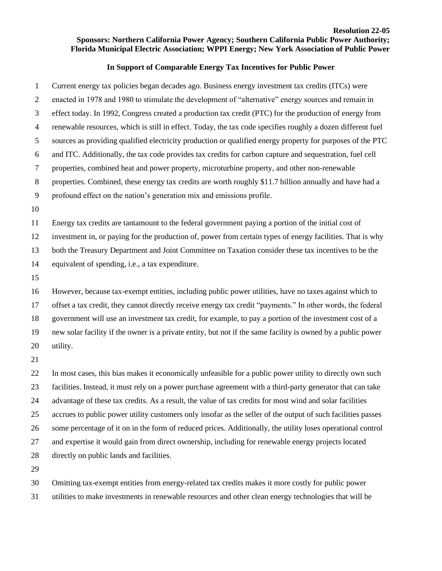## **Resolution 22-05 Sponsors: Northern California Power Agency; Southern California Public Power Authority; Florida Municipal Electric Association; WPPI Energy; New York Association of Public Power**

## **In Support of Comparable Energy Tax Incentives for Public Power**

 Current energy tax policies began decades ago. Business energy investment tax credits (ITCs) were enacted in 1978 and 1980 to stimulate the development of "alternative" energy sources and remain in effect today. In 1992, Congress created a production tax credit (PTC) for the production of energy from renewable resources, which is still in effect. Today, the tax code specifies roughly a dozen different fuel sources as providing qualified electricity production or qualified energy property for purposes of the PTC and ITC. Additionally, the tax code provides tax credits for carbon capture and sequestration, fuel cell properties, combined heat and power property, microturbine property, and other non-renewable properties. Combined, these energy tax credits are worth roughly \$11.7 billion annually and have had a profound effect on the nation's generation mix and emissions profile. Energy tax credits are tantamount to the federal government paying a portion of the initial cost of investment in, or paying for the production of, power from certain types of energy facilities. That is why both the Treasury Department and Joint Committee on Taxation consider these tax incentives to be the equivalent of spending, i.e., a tax expenditure. However, because tax-exempt entities, including public power utilities, have no taxes against which to

 offset a tax credit, they cannot directly receive energy tax credit "payments." In other words, the federal government will use an investment tax credit, for example, to pay a portion of the investment cost of a new solar facility if the owner is a private entity, but not if the same facility is owned by a public power utility.

 In most cases, this bias makes it economically unfeasible for a public power utility to directly own such facilities. Instead, it must rely on a power purchase agreement with a third-party generator that can take advantage of these tax credits. As a result, the value of tax credits for most wind and solar facilities accrues to public power utility customers only insofar as the seller of the output of such facilities passes some percentage of it on in the form of reduced prices. Additionally, the utility loses operational control and expertise it would gain from direct ownership, including for renewable energy projects located directly on public lands and facilities.

 Omitting tax-exempt entities from energy-related tax credits makes it more costly for public power utilities to make investments in renewable resources and other clean energy technologies that will be